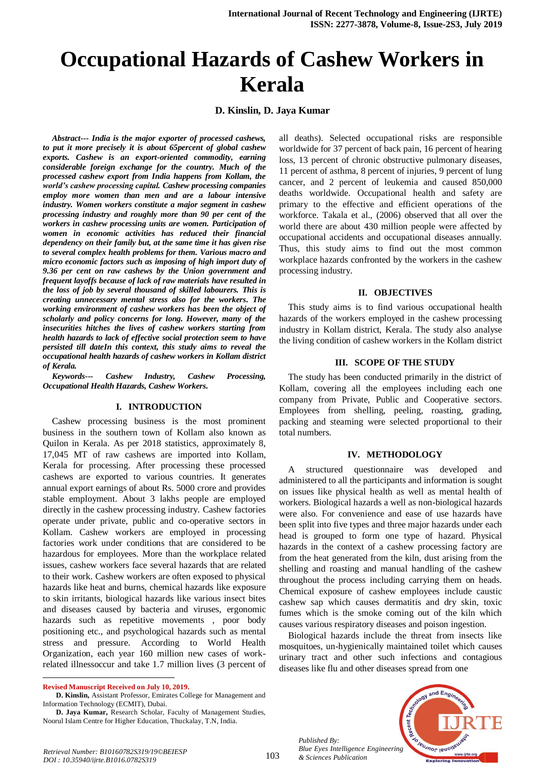# **Occupational Hazards of Cashew Workers in Kerala**

# **D. Kinslin, D. Jaya Kumar**

*Abstract--- India is the major exporter of processed cashews, to put it more precisely it is about 65percent of global cashew exports. Cashew is an export-oriented commodity, earning considerable foreign exchange for the country. Much of the processed cashew export from India happens from Kollam, the world's cashew processing capital. Cashew processing companies employ more women than men and are a labour intensive industry. Women workers constitute a major segment in cashew processing industry and roughly more than 90 per cent of the workers in cashew processing units are women. Participation of women in economic activities has reduced their financial dependency on their family but, at the same time it has given rise to several complex health problems for them. Various macro and micro economic factors such as imposing of high import duty of 9.36 per cent on raw cashews by the Union government and frequent layoffs because of lack of raw materials have resulted in the loss of job by several thousand of skilled labourers. This is creating unnecessary mental stress also for the workers. The working environment of cashew workers has been the object of scholarly and policy concerns for long. However, many of the insecurities hitches the lives of cashew workers starting from health hazards to lack of effective social protection seem to have persisted till dateIn this context, this study aims to reveal the occupational health hazards of cashew workers in Kollam district of Kerala.*

*Keywords--- Cashew Industry, Cashew Processing, Occupational Health Hazards, Cashew Workers.*

### **I. INTRODUCTION**

Cashew processing business is the most prominent business in the southern town of Kollam also known as Quilon in Kerala. As per 2018 statistics, approximately 8, 17,045 MT of raw cashews are imported into Kollam, Kerala for processing. After processing these processed cashews are exported to various countries. It generates annual export earnings of about Rs. 5000 crore and provides stable employment. About 3 lakhs people are employed directly in the cashew processing industry. Cashew factories operate under private, public and co-operative sectors in Kollam. Cashew workers are employed in processing factories work under conditions that are considered to be hazardous for employees. More than the workplace related issues, cashew workers face several hazards that are related to their work. Cashew workers are often exposed to physical hazards like heat and burns, chemical hazards like exposure to skin irritants, biological hazards like various insect bites and diseases caused by bacteria and viruses, ergonomic hazards such as repetitive movements , poor body positioning etc., and psychological hazards such as mental stress and pressure. According to World Health Organization, each year 160 million new cases of workrelated illnessoccur and take 1.7 million lives (3 percent of

**Revised Manuscript Received on July 10, 2019.**

1

**D. Kinslin,** Assistant Professor, Emirates College for Management and Information Technology (ECMIT), Dubai.

**D. Jaya Kumar,** Research Scholar, Faculty of Management Studies, Noorul Islam Centre for Higher Education, Thuckalay, T.N, India.

all deaths). Selected occupational risks are responsible worldwide for 37 percent of back pain, 16 percent of hearing loss, 13 percent of chronic obstructive pulmonary diseases, 11 percent of asthma, 8 percent of injuries, 9 percent of lung cancer, and 2 percent of leukemia and caused 850,000 deaths worldwide. Occupational health and safety are primary to the effective and efficient operations of the workforce. Takala et al., (2006) observed that all over the world there are about 430 million people were affected by occupational accidents and occupational diseases annually. Thus, this study aims to find out the most common workplace hazards confronted by the workers in the cashew processing industry.

#### **II. OBJECTIVES**

This study aims is to find various occupational health hazards of the workers employed in the cashew processing industry in Kollam district, Kerala. The study also analyse the living condition of cashew workers in the Kollam district

#### **III. SCOPE OF THE STUDY**

The study has been conducted primarily in the district of Kollam, covering all the employees including each one company from Private, Public and Cooperative sectors. Employees from shelling, peeling, roasting, grading, packing and steaming were selected proportional to their total numbers.

## **IV. METHODOLOGY**

A structured questionnaire was developed and administered to all the participants and information is sought on issues like physical health as well as mental health of workers. Biological hazards a well as non-biological hazards were also. For convenience and ease of use hazards have been split into five types and three major hazards under each head is grouped to form one type of hazard. Physical hazards in the context of a cashew processing factory are from the heat generated from the kiln, dust arising from the shelling and roasting and manual handling of the cashew throughout the process including carrying them on heads. Chemical exposure of cashew employees include caustic cashew sap which causes dermatitis and dry skin, toxic fumes which is the smoke coming out of the kiln which causes various respiratory diseases and poison ingestion.

Biological hazards include the threat from insects like mosquitoes, un-hygienically maintained toilet which causes urinary tract and other such infections and contagious diseases like flu and other diseases spread from one

*Published By: Blue Eyes Intelligence Engineering & Sciences Publication* 

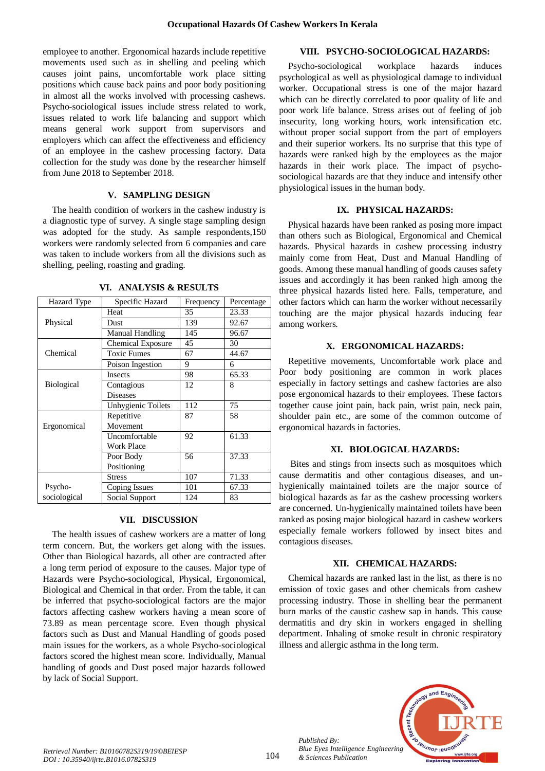employee to another. Ergonomical hazards include repetitive movements used such as in shelling and peeling which causes joint pains, uncomfortable work place sitting positions which cause back pains and poor body positioning in almost all the works involved with processing cashews. Psycho-sociological issues include stress related to work, issues related to work life balancing and support which means general work support from supervisors and employers which can affect the effectiveness and efficiency of an employee in the cashew processing factory. Data collection for the study was done by the researcher himself from June 2018 to September 2018.

# **V. SAMPLING DESIGN**

The health condition of workers in the cashew industry is a diagnostic type of survey. A single stage sampling design was adopted for the study. As sample respondents,150 workers were randomly selected from 6 companies and care was taken to include workers from all the divisions such as shelling, peeling, roasting and grading.

| Hazard Type       | Specific Hazard          | Frequency | Percentage |
|-------------------|--------------------------|-----------|------------|
|                   | Heat                     | 35        | 23.33      |
| Physical          | Dust                     | 139       | 92.67      |
|                   | <b>Manual Handling</b>   | 145       | 96.67      |
|                   | <b>Chemical Exposure</b> | 45        | 30         |
| Chemical          | <b>Toxic Fumes</b>       | 67        | 44.67      |
|                   | Poison Ingestion         | 9         | 6          |
|                   | Insects                  | 98        | 65.33      |
| <b>Biological</b> | Contagious               | 12        | 8          |
|                   | <b>Diseases</b>          |           |            |
|                   | Unhygienic Toilets       | 112       | 75         |
|                   | Repetitive               | 87        | 58         |
| Ergonomical       | Movement                 |           |            |
|                   | Uncomfortable            | 92        | 61.33      |
|                   | <b>Work Place</b>        |           |            |
|                   | Poor Body                | 56        | 37.33      |
|                   | Positioning              |           |            |
|                   | Stress                   | 107       | 71.33      |
| Psycho-           | Coping Issues            | 101       | 67.33      |
| sociological      | Social Support           | 124       | 83         |

**VI. ANALYSIS & RESULTS**

## **VII. DISCUSSION**

The health issues of cashew workers are a matter of long term concern. But, the workers get along with the issues. Other than Biological hazards, all other are contracted after a long term period of exposure to the causes. Major type of Hazards were Psycho-sociological, Physical, Ergonomical, Biological and Chemical in that order. From the table, it can be inferred that psycho-sociological factors are the major factors affecting cashew workers having a mean score of 73.89 as mean percentage score. Even though physical factors such as Dust and Manual Handling of goods posed main issues for the workers, as a whole Psycho-sociological factors scored the highest mean score. Individually, Manual handling of goods and Dust posed major hazards followed by lack of Social Support.

# **VIII. PSYCHO-SOCIOLOGICAL HAZARDS:**

Psycho-sociological workplace hazards induces psychological as well as physiological damage to individual worker. Occupational stress is one of the major hazard which can be directly correlated to poor quality of life and poor work life balance. Stress arises out of feeling of job insecurity, long working hours, work intensification etc. without proper social support from the part of employers and their superior workers. Its no surprise that this type of hazards were ranked high by the employees as the major hazards in their work place. The impact of psychosociological hazards are that they induce and intensify other physiological issues in the human body.

## **IX. PHYSICAL HAZARDS:**

Physical hazards have been ranked as posing more impact than others such as Biological, Ergonomical and Chemical hazards. Physical hazards in cashew processing industry mainly come from Heat, Dust and Manual Handling of goods. Among these manual handling of goods causes safety issues and accordingly it has been ranked high among the three physical hazards listed here. Falls, temperature, and other factors which can harm the worker without necessarily touching are the major physical hazards inducing fear among workers.

## **X. ERGONOMICAL HAZARDS:**

Repetitive movements, Uncomfortable work place and Poor body positioning are common in work places especially in factory settings and cashew factories are also pose ergonomical hazards to their employees. These factors together cause joint pain, back pain, wrist pain, neck pain, shoulder pain etc., are some of the common outcome of ergonomical hazards in factories.

# **XI. BIOLOGICAL HAZARDS:**

Bites and stings from insects such as mosquitoes which cause dermatitis and other contagious diseases, and unhygienically maintained toilets are the major source of biological hazards as far as the cashew processing workers are concerned. Un-hygienically maintained toilets have been ranked as posing major biological hazard in cashew workers especially female workers followed by insect bites and contagious diseases.

## **XII. CHEMICAL HAZARDS:**

Chemical hazards are ranked last in the list, as there is no emission of toxic gases and other chemicals from cashew processing industry. Those in shelling bear the permanent burn marks of the caustic cashew sap in hands. This cause dermatitis and dry skin in workers engaged in shelling department. Inhaling of smoke result in chronic respiratory illness and allergic asthma in the long term.



*Published By:*

*& Sciences Publication*